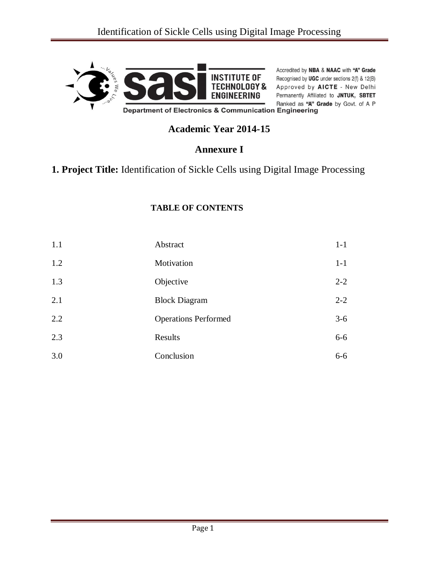

Accredited by NBA & NAAC with "A" Grade Recognised by UGC under sections 2(f) & 12(B) Approved by AICTE - New Delhi Permanently Affiliated to JNTUK, SBTET Ranked as "A" Grade by Govt. of A P

# **Academic Year 2014-15**

# **Annexure I**

# **1. Project Title:** Identification of Sickle Cells using Digital Image Processing

## **TABLE OF CONTENTS**

| 1.1 | Abstract                    | $1 - 1$ |
|-----|-----------------------------|---------|
| 1.2 | Motivation                  | $1 - 1$ |
| 1.3 | Objective                   | $2 - 2$ |
| 2.1 | <b>Block Diagram</b>        | $2 - 2$ |
| 2.2 | <b>Operations Performed</b> | $3-6$   |
| 2.3 | Results                     | $6-6$   |
| 3.0 | Conclusion                  | $6-6$   |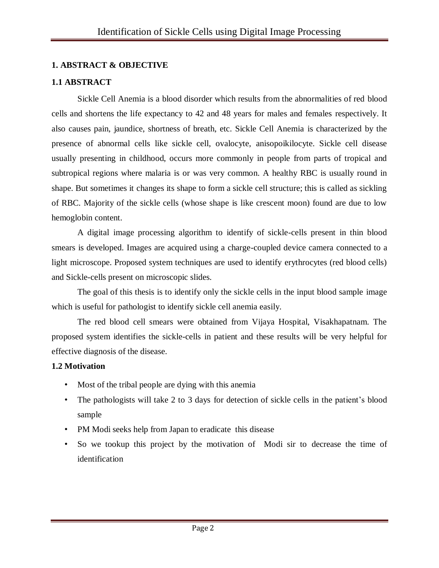## **1. ABSTRACT & OBJECTIVE**

## **1.1 ABSTRACT**

Sickle Cell Anemia is a blood disorder which results from the abnormalities of red blood cells and shortens the life expectancy to 42 and 48 years for males and females respectively. It also causes pain, jaundice, shortness of breath, etc. Sickle Cell Anemia is characterized by the presence of abnormal cells like sickle cell, ovalocyte, anisopoikilocyte. Sickle cell disease usually presenting in childhood, occurs more commonly in people from parts of tropical and subtropical regions where malaria is or was very common. A healthy RBC is usually round in shape. But sometimes it changes its shape to form a sickle cell structure; this is called as sickling of RBC. Majority of the sickle cells (whose shape is like crescent moon) found are due to low hemoglobin content.

A digital image processing algorithm to identify of sickle-cells present in thin blood smears is developed. Images are acquired using a charge-coupled device camera connected to a light microscope. Proposed system techniques are used to identify erythrocytes (red blood cells) and Sickle-cells present on microscopic slides.

The goal of this thesis is to identify only the sickle cells in the input blood sample image which is useful for pathologist to identify sickle cell anemia easily.

The red blood cell smears were obtained from Vijaya Hospital, Visakhapatnam. The proposed system identifies the sickle-cells in patient and these results will be very helpful for effective diagnosis of the disease.

#### **1.2 Motivation**

- Most of the tribal people are dying with this anemia
- The pathologists will take 2 to 3 days for detection of sickle cells in the patient's blood sample
- PM Modi seeks help from Japan to eradicate this disease
- So we tookup this project by the motivation of Modi sir to decrease the time of identification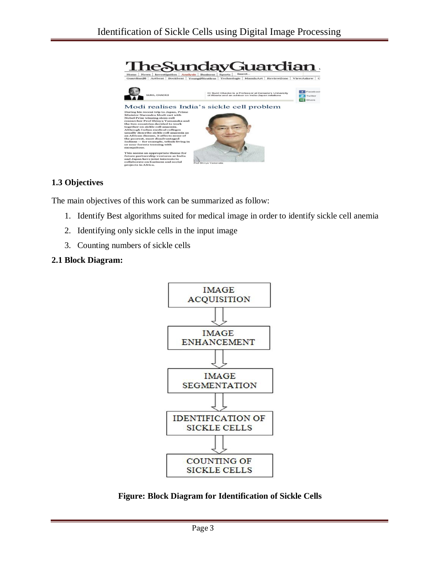

## **1.3 Objectives**

The main objectives of this work can be summarized as follow:

- 1. Identify Best algorithms suited for medical image in order to identify sickle cell anemia
- 2. Identifying only sickle cells in the input image
- 3. Counting numbers of sickle cells

#### **2.1 Block Diagram:**



**Figure: Block Diagram for Identification of Sickle Cells**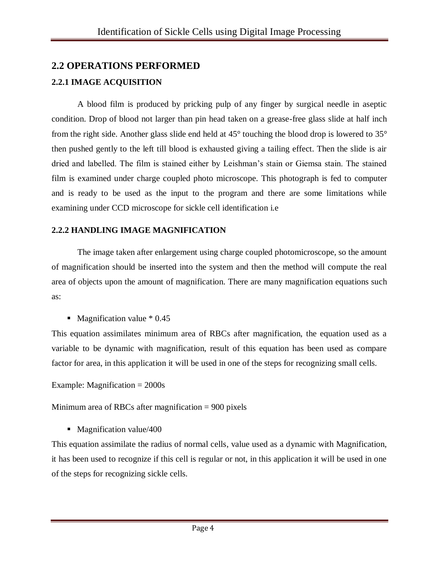# **2.2 OPERATIONS PERFORMED 2.2.1 IMAGE ACQUISITION**

A blood film is produced by pricking pulp of any finger by surgical needle in aseptic condition. Drop of blood not larger than pin head taken on a grease-free glass slide at half inch from the right side. Another glass slide end held at 45° touching the blood drop is lowered to 35° then pushed gently to the left till blood is exhausted giving a tailing effect. Then the slide is air dried and labelled. The film is stained either by Leishman's stain or Giemsa stain. The stained film is examined under charge coupled photo microscope. This photograph is fed to computer and is ready to be used as the input to the program and there are some limitations while examining under CCD microscope for sickle cell identification i.e

#### **2.2.2 HANDLING IMAGE MAGNIFICATION**

The image taken after enlargement using charge coupled photomicroscope, so the amount of magnification should be inserted into the system and then the method will compute the real area of objects upon the amount of magnification. There are many magnification equations such as:

• Magnification value  $* 0.45$ 

This equation assimilates minimum area of RBCs after magnification, the equation used as a variable to be dynamic with magnification, result of this equation has been used as compare factor for area, in this application it will be used in one of the steps for recognizing small cells.

Example: Magnification = 2000s

Minimum area of RBCs after magnification = 900 pixels

 $\blacksquare$  Magnification value/400

This equation assimilate the radius of normal cells, value used as a dynamic with Magnification, it has been used to recognize if this cell is regular or not, in this application it will be used in one of the steps for recognizing sickle cells.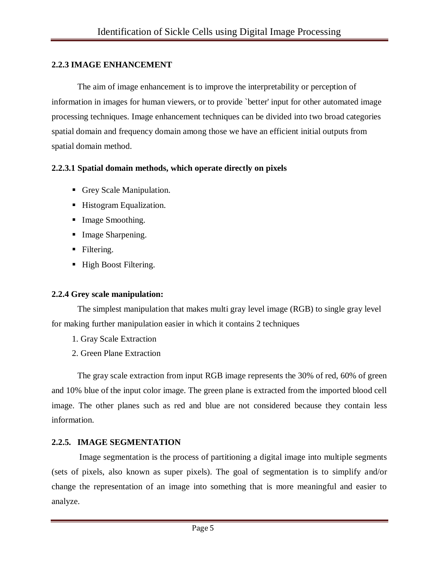## **2.2.3 IMAGE ENHANCEMENT**

The aim of image enhancement is to improve the interpretability or perception of information in images for human viewers, or to provide `better' input for other automated image processing techniques. Image enhancement techniques can be divided into two broad categories spatial domain and frequency domain among those we have an efficient initial outputs from spatial domain method.

## **2.2.3.1 Spatial domain methods, which operate directly on pixels**

- Grey Scale Manipulation.
- Histogram Equalization.
- **Image Smoothing.**
- Image Sharpening.
- $\blacksquare$  Filtering.
- High Boost Filtering.

## **2.2.4 Grey scale manipulation:**

The simplest manipulation that makes multi gray level image (RGB) to single gray level for making further manipulation easier in which it contains 2 techniques

- 1. Gray Scale Extraction
- 2. Green Plane Extraction

The gray scale extraction from input RGB image represents the 30% of red, 60% of green and 10% blue of the input color image. The green plane is extracted from the imported blood cell image. The other planes such as red and blue are not considered because they contain less information.

## **2.2.5. IMAGE SEGMENTATION**

 Image segmentation is the process of partitioning a [digital image](http://en.wikipedia.org/wiki/Digital_image) into multiple segments [\(sets](http://en.wikipedia.org/wiki/Set_%28mathematics%29) of [pixels,](http://en.wikipedia.org/wiki/Pixel) also known as super pixels). The goal of segmentation is to simplify and/or change the representation of an image into something that is more meaningful and easier to analyze.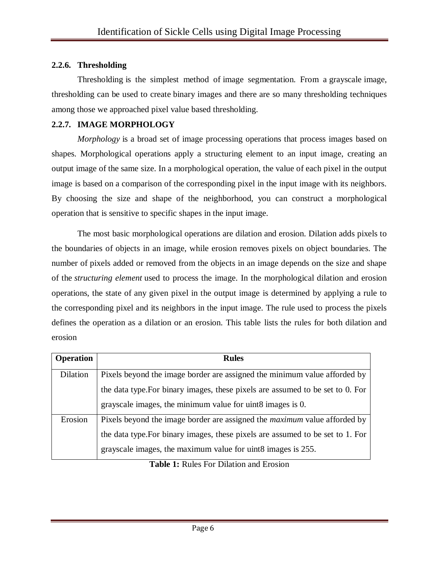#### **2.2.6. Thresholding**

Thresholding is the simplest method of image segmentation. From a grayscale image, thresholding can be used to create binary images and there are so many thresholding techniques among those we approached pixel value based thresholding.

#### **2.2.7. IMAGE MORPHOLOGY**

*Morphology* is a broad set of image processing operations that process images based on shapes. Morphological operations apply a structuring element to an input image, creating an output image of the same size. In a morphological operation, the value of each pixel in the output image is based on a comparison of the corresponding pixel in the input image with its neighbors. By choosing the size and shape of the neighborhood, you can construct a morphological operation that is sensitive to specific shapes in the input image.

The most basic morphological operations are dilation and erosion. Dilation adds pixels to the boundaries of objects in an image, while erosion removes pixels on object boundaries. The number of pixels added or removed from the objects in an image depends on the size and shape of the *structuring element* used to process the image. In the morphological dilation and erosion operations, the state of any given pixel in the output image is determined by applying a rule to the corresponding pixel and its neighbors in the input image. The rule used to process the pixels defines the operation as a dilation or an erosion. This table lists the rules for both dilation and erosion

| <b>Operation</b> | <b>Rules</b>                                                                     |
|------------------|----------------------------------------------------------------------------------|
| Dilation         | Pixels beyond the image border are assigned the minimum value afforded by        |
|                  | the data type. For binary images, these pixels are assumed to be set to 0. For   |
|                  | grayscale images, the minimum value for uint8 images is 0.                       |
| Erosion          | Pixels beyond the image border are assigned the <i>maximum</i> value afforded by |
|                  | the data type. For binary images, these pixels are assumed to be set to 1. For   |
|                  | grayscale images, the maximum value for uint8 images is 255.                     |

**Table 1:** Rules For Dilation and Erosion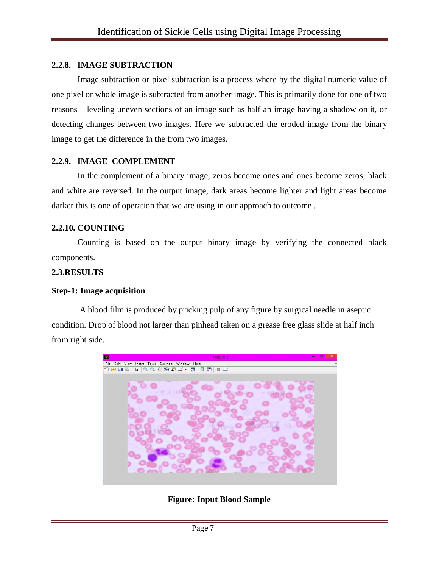#### **2.2.8. IMAGE SUBTRACTION**

Image subtraction or pixel subtraction is a process where by the digital numeric value of one pixel or whole image is subtracted from another image. This is primarily done for one of two reasons – leveling uneven sections of an image such as half an image having a shadow on it, or detecting changes between two images. Here we subtracted the eroded image from the binary image to get the difference in the from two images.

#### **2.2.9. IMAGE COMPLEMENT**

In the complement of a binary image, zeros become ones and ones become zeros; black and white are reversed. In the output image, dark areas become lighter and light areas become darker this is one of operation that we are using in our approach to outcome .

#### **2.2.10. COUNTING**

Counting is based on the output binary image by verifying the connected black components.

#### **2.3.RESULTS**

#### **Step-1: Image acquisition**

A blood film is produced by pricking pulp of any figure by surgical needle in aseptic condition. Drop of blood not larger than pinhead taken on a grease free glass slide at half inch from right side.



**Figure: Input Blood Sample**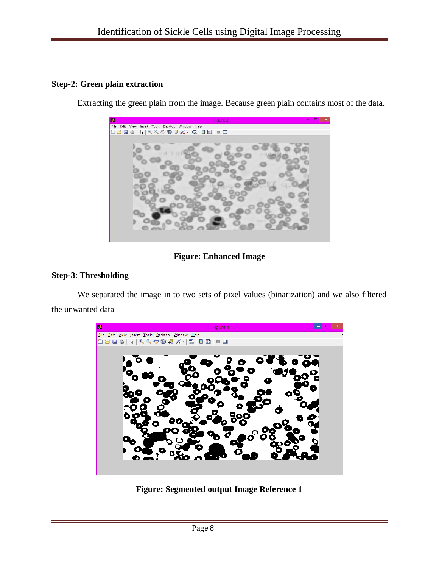## **Step-2: Green plain extraction**

m  $\begin{tabular}{|c|c|c|c|c|} \hline \textbf{File} & \textbf{Edit} & \textbf{View} & \textbf{Insert} \\ \hline \hline \textbf{C} & \textbf{C} & \textbf{M} & \textbf{W} & \textbf{W} \\ \hline \end{tabular}$  $\begin{array}{c|c|c|c|c|c} \hline \textbf{C} & \textbf{D} & \textbf{D} & \textbf{D} & \textbf{D} \\ \hline \textbf{C} & \textbf{D} & \textbf{D} & \textbf{D} & \textbf{D} & \textbf{D} & \textbf{D} \\ \hline \end{array}$  $\circledcirc \circledast \bullet \cdot$ 

Extracting the green plain from the image. Because green plain contains most of the data.

## **Figure: Enhanced Image**

#### **Step-3**: **Thresholding**

We separated the image in to two sets of pixel values (binarization) and we also filtered the unwanted data



**Figure: Segmented output Image Reference 1**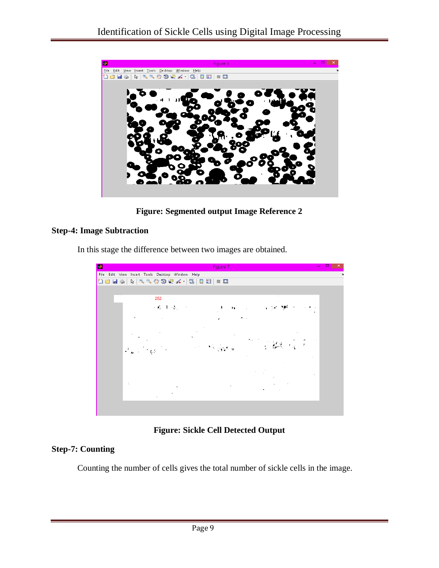

**Figure: Segmented output Image Reference 2**

## **Step-4: Image Subtraction**

In this stage the difference between two images are obtained.



**Figure: Sickle Cell Detected Output**

## **Step-7: Counting**

Counting the number of cells gives the total number of sickle cells in the image.